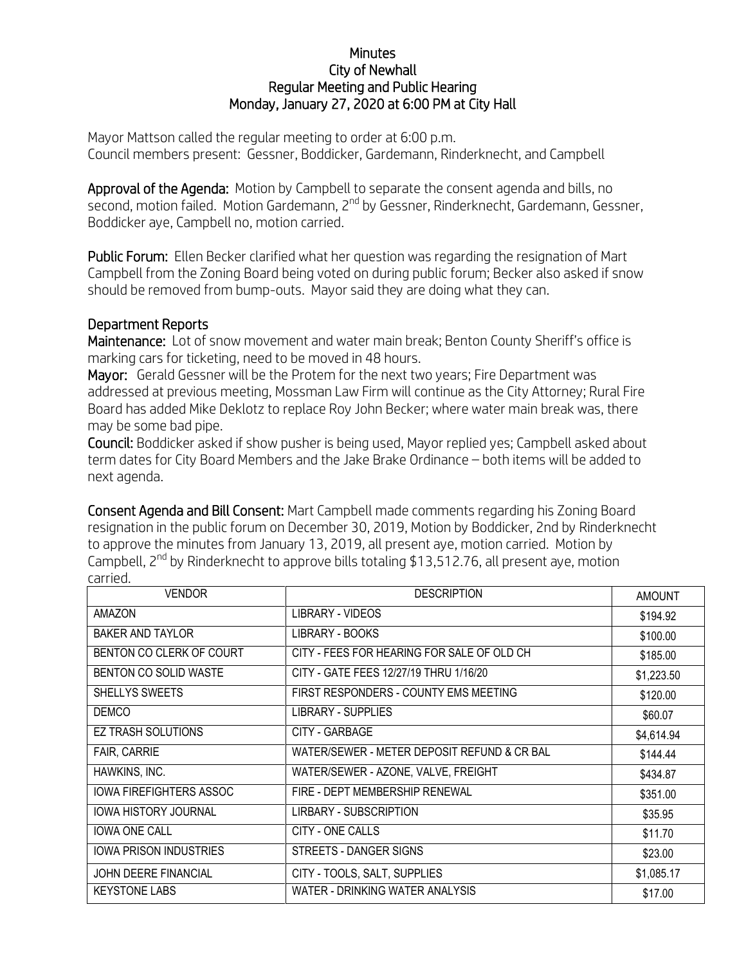## **Minutes** City of Newhall Regular Meeting and Public Hearing Monday, January 27, 2020 at 6:00 PM at City Hall

Mayor Mattson called the regular meeting to order at 6:00 p.m. Council members present: Gessner, Boddicker, Gardemann, Rinderknecht, and Campbell

Approval of the Agenda: Motion by Campbell to separate the consent agenda and bills, no second, motion failed. Motion Gardemann, 2<sup>nd</sup> by Gessner, Rinderknecht, Gardemann, Gessner, Boddicker aye, Campbell no, motion carried.

Public Forum: Ellen Becker clarified what her question was regarding the resignation of Mart Campbell from the Zoning Board being voted on during public forum; Becker also asked if snow should be removed from bump-outs. Mayor said they are doing what they can.

## Department Reports

Maintenance: Lot of snow movement and water main break; Benton County Sheriff's office is marking cars for ticketing, need to be moved in 48 hours.

Mayor: Gerald Gessner will be the Protem for the next two years; Fire Department was addressed at previous meeting, Mossman Law Firm will continue as the City Attorney; Rural Fire Board has added Mike Deklotz to replace Roy John Becker; where water main break was, there may be some bad pipe.

Council: Boddicker asked if show pusher is being used, Mayor replied yes; Campbell asked about term dates for City Board Members and the Jake Brake Ordinance – both items will be added to next agenda.

Consent Agenda and Bill Consent: Mart Campbell made comments regarding his Zoning Board resignation in the public forum on December 30, 2019, Motion by Boddicker, 2nd by Rinderknecht to approve the minutes from January 13, 2019, all present aye, motion carried. Motion by Campbell,  $2^{nd}$  by Rinderknecht to approve bills totaling \$13,512.76, all present aye, motion carried.

| <b>VENDOR</b>                  | <b>DESCRIPTION</b>                          | <b>AMOUNT</b> |
|--------------------------------|---------------------------------------------|---------------|
| <b>AMAZON</b>                  | LIBRARY - VIDEOS                            | \$194.92      |
| <b>BAKER AND TAYLOR</b>        | LIBRARY - BOOKS                             | \$100.00      |
| BENTON CO CLERK OF COURT       | CITY - FEES FOR HEARING FOR SALE OF OLD CH  | \$185.00      |
| BENTON CO SOLID WASTE          | CITY - GATE FEES 12/27/19 THRU 1/16/20      | \$1,223.50    |
| SHELLYS SWEETS                 | FIRST RESPONDERS - COUNTY EMS MEETING       | \$120.00      |
| <b>DEMCO</b>                   | <b>LIBRARY - SUPPLIES</b>                   | \$60.07       |
| <b>EZ TRASH SOLUTIONS</b>      | CITY - GARBAGE                              | \$4,614.94    |
| FAIR, CARRIE                   | WATER/SEWER - METER DEPOSIT REFUND & CR BAL | \$144.44      |
| HAWKINS, INC.                  | WATER/SEWER - AZONE, VALVE, FREIGHT         | \$434.87      |
| <b>IOWA FIREFIGHTERS ASSOC</b> | FIRE - DEPT MEMBERSHIP RENEWAL              | \$351.00      |
| <b>IOWA HISTORY JOURNAL</b>    | LIRBARY - SUBSCRIPTION                      | \$35.95       |
| <b>IOWA ONE CALL</b>           | CITY - ONE CALLS                            | \$11.70       |
| <b>IOWA PRISON INDUSTRIES</b>  | STREETS - DANGER SIGNS                      | \$23.00       |
| JOHN DEERE FINANCIAL           | CITY - TOOLS, SALT, SUPPLIES                | \$1,085.17    |
| <b>KEYSTONE LABS</b>           | WATER - DRINKING WATER ANALYSIS             | \$17.00       |